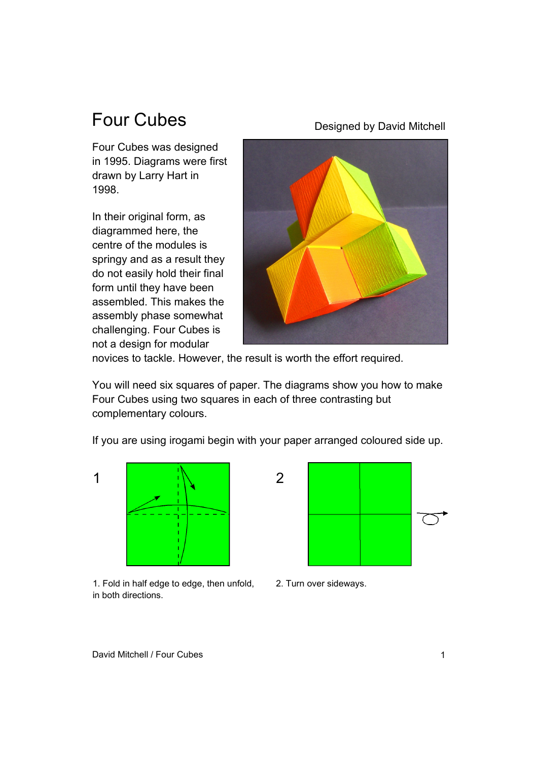## Four Cubes

Four Cubes was designed in 1995. Diagrams were first drawn by Larry Hart in 1998.

In their original form, as diagrammed here, the centre of the modules is springy and as a result they do not easily hold their final form until they have been assembled. This makes the assembly phase somewhat challenging. Four Cubes is not a design for modular

Designed by David Mitchell

novices to tackle. However, the result is worth the effort required.

You will need six squares of paper. The diagrams show you how to make Four Cubes using two squares in each of three contrasting but complementary colours.

If you are using irogami begin with your paper arranged coloured side up.



1. Fold in half edge to edge, then unfold, in both directions.



2. Turn over sideways.

David Mitchell / Four Cubes 1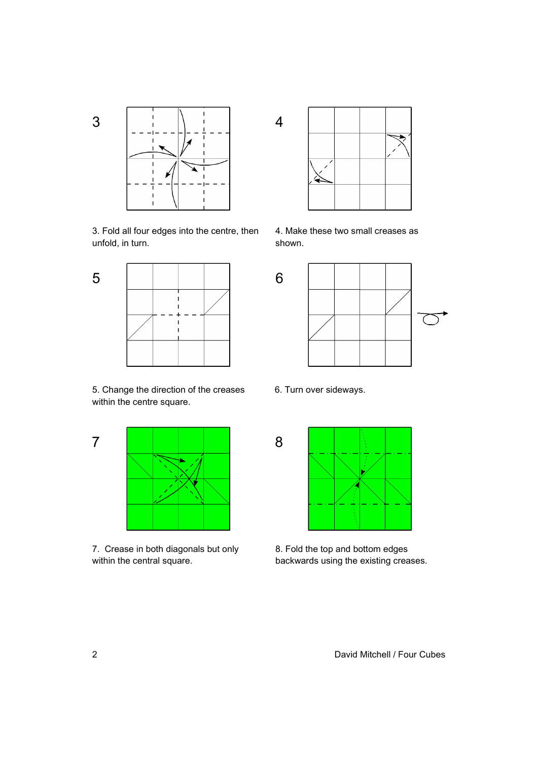3



3. Fold all four edges into the centre, then unfold, in turn.



5. Change the direction of the creases 6. Turn over sideways. within the centre square.



7. Crease in both diagonals but only within the central square.



4. Make these two small creases as shown.





8. Fold the top and bottom edges backwards using the existing creases.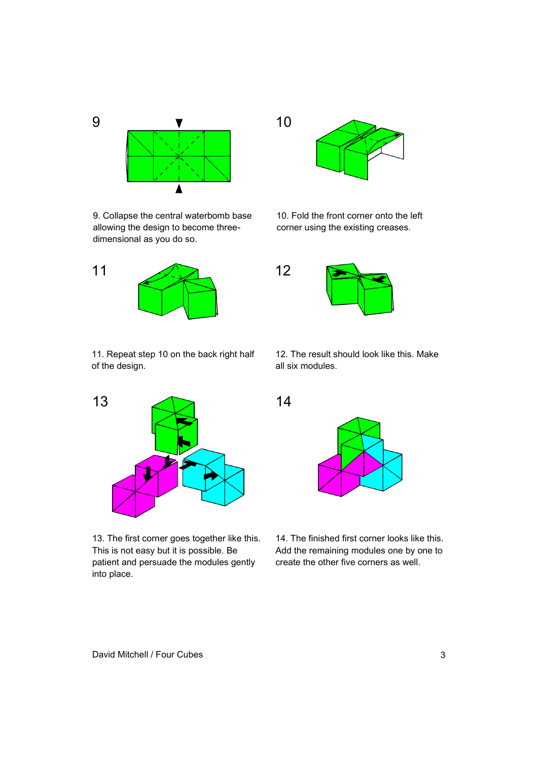

9. Collapse the central waterbomb base allowing the design to become threedimensional as you do so.



11. Repeat step 10 on the back right half of the design.



13. The first corner goes together like this. This is not easy but it is possible. Be patient and persuade the modules gently into place.



10. Fold the front corner onto the left corner using the existing creases.



12. The result should look like this. Make all six modules.



14. The finished first corner looks like this. Add the remaining modules one by one to create the other five corners as well.